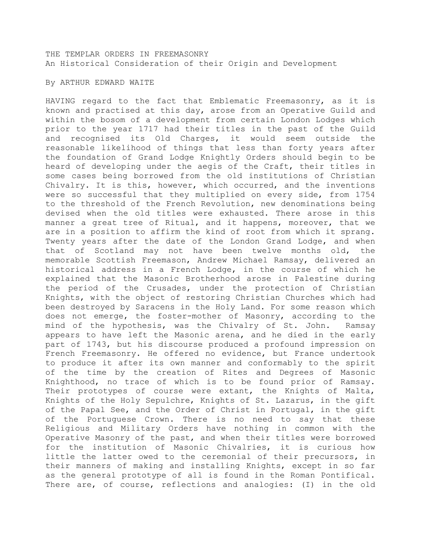THE TEMPLAR ORDERS IN FREEMASONRY An Historical Consideration of their Origin and Development

By ARTHUR EDWARD WAITE

HAVING regard to the fact that Emblematic Freemasonry, as it is known and practised at this day, arose from an Operative Guild and within the bosom of a development from certain London Lodges which prior to the year 1717 had their titles in the past of the Guild and recognised its Old Charges, it would seem outside the reasonable likelihood of things that less than forty years after the foundation of Grand Lodge Knightly Orders should begin to be heard of developing under the aegis of the Craft, their titles in some cases being borrowed from the old institutions of Christian Chivalry. It is this, however, which occurred, and the inventions were so successful that they multiplied on every side, from 1754 to the threshold of the French Revolution, new denominations being devised when the old titles were exhausted. There arose in this manner a great tree of Ritual, and it happens, moreover, that we are in a position to affirm the kind of root from which it sprang. Twenty years after the date of the London Grand Lodge, and when that of Scotland may not have been twelve months old, the memorable Scottish Freemason, Andrew Michael Ramsay, delivered an historical address in a French Lodge, in the course of which he explained that the Masonic Brotherhood arose in Palestine during the period of the Crusades, under the protection of Christian Knights, with the object of restoring Christian Churches which had been destroyed by Saracens in the Holy Land. For some reason which does not emerge, the foster-mother of Masonry, according to the mind of the hypothesis, was the Chivalry of St. John. Ramsay appears to have left the Masonic arena, and he died in the early part of 1743, but his discourse produced a profound impression on French Freemasonry. He offered no evidence, but France undertook to produce it after its own manner and conformably to the spirit of the time by the creation of Rites and Degrees of Masonic Knighthood, no trace of which is to be found prior of Ramsay. Their prototypes of course were extant, the Knights of Malta, Knights of the Holy Sepulchre, Knights of St. Lazarus, in the gift of the Papal See, and the Order of Christ in Portugal, in the gift of the Portuguese Crown. There is no need to say that these Religious and Military Orders have nothing in common with the Operative Masonry of the past, and when their titles were borrowed for the institution of Masonic Chivalries, it is curious how little the latter owed to the ceremonial of their precursors, in their manners of making and installing Knights, except in so far as the general prototype of all is found in the Roman Pontifical. There are, of course, reflections and analogies: (I) in the old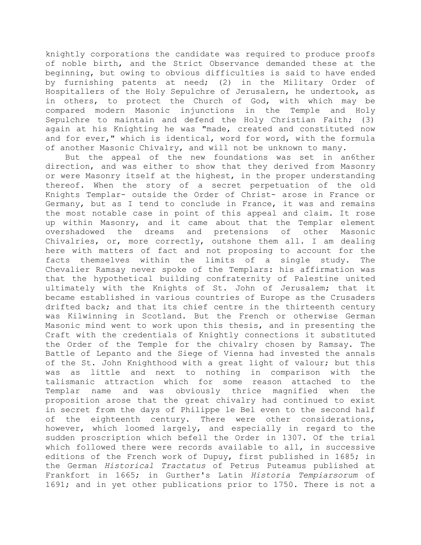knightly corporations the candidate was required to produce proofs of noble birth, and the Strict Observance demanded these at the beginning, but owing to obvious difficulties is said to have ended by furnishing patents at need; (2) in the Military Order of Hospitallers of the Holy Sepulchre of Jerusalern, he undertook, as in others, to protect the Church of God, with which may be compared modern Masonic injunctions in the Temple and Holy Sepulchre to maintain and defend the Holy Christian Faith; (3) again at his Knighting he was "made, created and constituted now and for ever," which is identical, word for word, with the formula of another Masonic Chivalry, and will not be unknown to many.

 But the appeal of the new foundations was set in an6ther direction, and was either to show that they derived from Masonry or were Masonry itself at the highest, in the proper understanding thereof. When the story of a secret perpetuation of the old Knights Templar- outside the Order of Christ- arose in France or Germany, but as I tend to conclude in France, it was and remains the most notable case in point of this appeal and claim. It rose up within Masonry, and it came about that the Templar element overshadowed the dreams and pretensions of other Masonic Chivalries, or, more correctly, outshone them all. I am dealing here with matters of fact and not proposing to account for the facts themselves within the limits of a single study. The Chevalier Ramsay never spoke of the Templars: his affirmation was that the hypothetical building confraternity of Palestine united ultimately with the Knights of St. John of Jerusalem; that it became established in various countries of Europe as the Crusaders drifted back; and that its chief centre in the thirteenth century was Kilwinning in Scotland. But the French or otherwise German Masonic mind went to work upon this thesis, and in presenting the Craft with the credentials of Knightly connections it substituted the Order of the Temple for the chivalry chosen by Ramsay. The Battle of Lepanto and the Siege of Vienna had invested the annals of the St. John Knighthood with a great light of valour; but this was as little and next to nothing in comparison with the talismanic attraction which for some reason attached to the Templar name and was obviously thrice magnified when the proposition arose that the great chivalry had continued to exist in secret from the days of Philippe le Bel even to the second half of the eighteenth century. There were other considerations, however, which loomed largely, and especially in regard to the sudden proscription which befell the Order in 1307. Of the trial which followed there were records available to all, in successive editions of the French work of Dupuy, first published in 1685; in the German *Historical Tractatus* of Petrus Puteamus published at Frankfort in 1665; in Gurther's Latin *Historia Tempiarsorum* of 1691; and in yet other publications prior to 1750. There is not a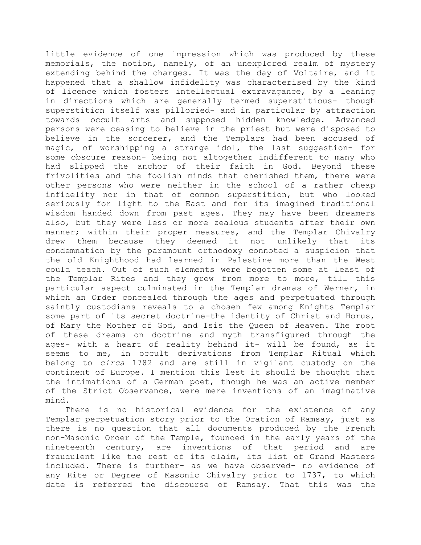little evidence of one impression which was produced by these memorials, the notion, namely, of an unexplored realm of mystery extending behind the charges. It was the day of Voltaire, and it happened that a shallow infidelity was characterised by the kind of licence which fosters intellectual extravagance, by a leaning in directions which are generally termed superstitious- though superstition itself was pilloried- and in particular by attraction towards occult arts and supposed hidden knowledge. Advanced persons were ceasing to believe in the priest but were disposed to believe in the sorcerer, and the Templars had been accused of magic, of worshipping a strange idol, the last suggestion- for some obscure reason- being not altogether indifferent to many who had slipped the anchor of their faith in God. Beyond these frivolities and the foolish minds that cherished them, there were other persons who were neither in the school of a rather cheap infidelity nor in that of common superstition, but who looked seriously for light to the East and for its imagined traditional wisdom handed down from past ages. They may have been dreamers also, but they were less or more zealous students after their own manner; within their proper measures, and the Templar Chivalry drew them because they deemed it not unlikely that its condemnation by the paramount orthodoxy connoted a suspicion that the old Knighthood had learned in Palestine more than the West could teach. Out of such elements were begotten some at least of the Templar Rites and they grew from more to more, till this particular aspect culminated in the Templar dramas of Werner, in which an Order concealed through the ages and perpetuated through saintly custodians reveals to a chosen few among Knights Templar some part of its secret doctrine-the identity of Christ and Horus, of Mary the Mother of God, and Isis the Queen of Heaven. The root of these dreams on doctrine and myth transfigured through the ages- with a heart of reality behind it- will be found, as it seems to me, in occult derivations from Templar Ritual which belong to *circa* 1782 and are still in vigilant custody on the continent of Europe. I mention this lest it should be thought that the intimations of a German poet, though he was an active member of the Strict Observance, were mere inventions of an imaginative mind.

 There is no historical evidence for the existence of any Templar perpetuation story prior to the Oration of Ramsay, just as there is no question that all documents produced by the French non-Masonic Order of the Temple, founded in the early years of the nineteenth century, are inventions of that period and are fraudulent like the rest of its claim, its list of Grand Masters included. There is further- as we have observed- no evidence of any Rite or Degree of Masonic Chivalry prior to 1737, to which date is referred the discourse of Ramsay. That this was the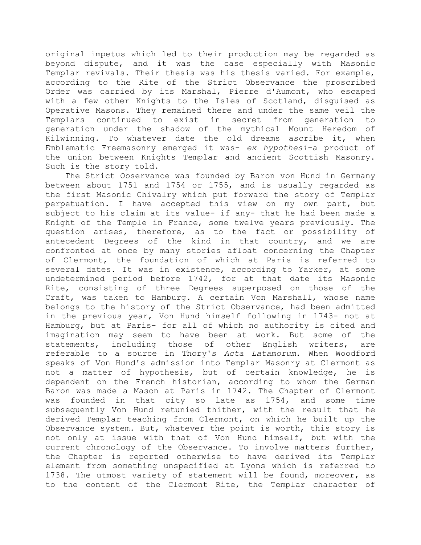original impetus which led to their production may be regarded as beyond dispute, and it was the case especially with Masonic Templar revivals. Their thesis was his thesis varied. For example, according to the Rite of the Strict Observance the proscribed Order was carried by its Marshal, Pierre d'Aumont, who escaped with a few other Knights to the Isles of Scotland, disguised as Operative Masons. They remained there and under the same veil the Templars continued to exist in secret from generation to generation under the shadow of the mythical Mount Heredom of Kilwinning. To whatever date the old dreams ascribe it, when Emblematic Freemasonry emerged it was- *ex hypothesi*-a product of the union between Knights Templar and ancient Scottish Masonry. Such is the story told.

 The Strict Observance was founded by Baron von Hund in Germany between about 1751 and 1754 or 1755, and is usually regarded as the first Masonic Chivalry which put forward the story of Templar perpetuation. I have accepted this view on my own part, but subject to his claim at its value- if any- that he had been made a Knight of the Temple in France, some twelve years previously. The question arises, therefore, as to the fact or possibility of antecedent Degrees of the kind in that country, and we are confronted at once by many stories afloat concerning the Chapter of Clermont, the foundation of which at Paris is referred to several dates. It was in existence, according to Yarker, at some undetermined period before 1742, for at that date its Masonic Rite, consisting of three Degrees superposed on those of the Craft, was taken to Hamburg. A certain Von Marshall, whose name belongs to the history of the Strict Observance, had been admitted in the previous year, Von Hund himself following in 1743- not at Hamburg, but at Paris- for all of which no authority is cited and imagination may seem to have been at work. But some of the statements, including those of other English writers, are referable to a source in Thory's *Acta Latamorum*. When Woodford speaks of Von Hund's admission into Templar Masonry at Clermont as not a matter of hypothesis, but of certain knowledge, he is dependent on the French historian, according to whom the German Baron was made a Mason at Paris in 1742. The Chapter of Clermont was founded in that city so late as 1754, and some time subsequently Von Hund retunied thither, with the result that he derived Templar teaching from Clermont, on which he built up the Observance system. But, whatever the point is worth, this story is not only at issue with that of Von Hund himself, but with the current chronology of the Observance. To involve matters further, the Chapter is reported otherwise to have derived its Templar element from something unspecified at Lyons which is referred to 1738. The utmost variety of statement will be found, moreover, as to the content of the Clermont Rite, the Templar character of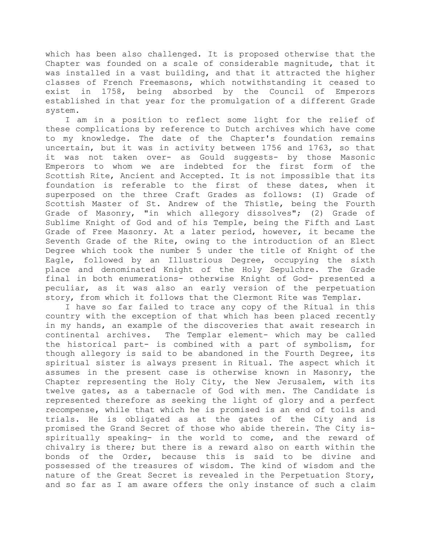which has been also challenged. It is proposed otherwise that the Chapter was founded on a scale of considerable magnitude, that it was installed in a vast building, and that it attracted the higher classes of French Freemasons, which notwithstanding it ceased to exist in 1758, being absorbed by the Council of Emperors established in that year for the promulgation of a different Grade system.

 I am in a position to reflect some light for the relief of these complications by reference to Dutch archives which have come to my knowledge. The date of the Chapter's foundation remains uncertain, but it was in activity between 1756 and 1763, so that it was not taken over- as Gould suggests- by those Masonic Emperors to whom we are indebted for the first form of the Scottish Rite, Ancient and Accepted. It is not impossible that its foundation is referable to the first of these dates, when it superposed on the three Craft Grades as follows: (I) Grade of Scottish Master of St. Andrew of the Thistle, being the Fourth Grade of Masonry, "in which allegory dissolves"; (2) Grade of Sublime Knight of God and of his Temple, being the Fifth and Last Grade of Free Masonry. At a later period, however, it became the Seventh Grade of the Rite, owing to the introduction of an Elect Degree which took the number 5 under the title of Knight of the Eagle, followed by an Illustrious Degree, occupying the sixth place and denominated Knight of the Holy Sepulchre. The Grade final in both enumerations- otherwise Knight of God- presented a peculiar, as it was also an early version of the perpetuation story, from which it follows that the Clermont Rite was Templar.

 I have so far failed to trace any copy of the Ritual in this country with the exception of that which has been placed recently in my hands, an example of the discoveries that await research in continental archives. The Templar element- which may be called the historical part- is combined with a part of symbolism, for though allegory is said to be abandoned in the Fourth Degree, its spiritual sister is always present in Ritual. The aspect which it assumes in the present case is otherwise known in Masonry, the Chapter representing the Holy City, the New Jerusalem, with its twelve gates, as a tabernacle of God with men. The Candidate is represented therefore as seeking the light of glory and a perfect recompense, while that which he is promised is an end of toils and trials. He is obligated as at the gates of the City and is promised the Grand Secret of those who abide therein. The City isspiritually speaking- in the world to come, and the reward of chivalry is there; but there is a reward also on earth within the bonds of the Order, because this is said to be divine and possessed of the treasures of wisdom. The kind of wisdom and the nature of the Great Secret is revealed in the Perpetuation Story, and so far as I am aware offers the only instance of such a claim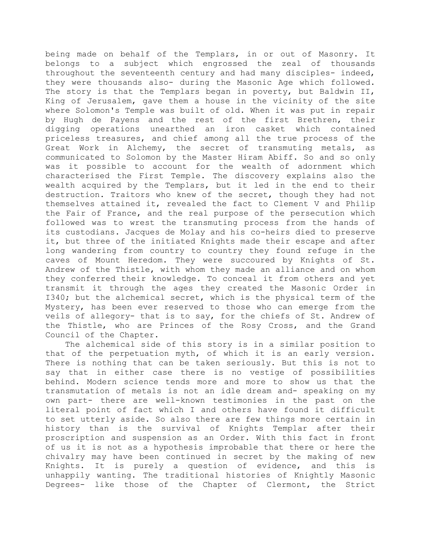being made on behalf of the Templars, in or out of Masonry. It belongs to a subject which engrossed the zeal of thousands throughout the seventeenth century and had many disciples- indeed, they were thousands also- during the Masonic Age which followed. The story is that the Templars began in poverty, but Baldwin II, King of Jerusalem, gave them a house in the vicinity of the site where Solomon's Temple was built of old. When it was put in repair by Hugh de Payens and the rest of the first Brethren, their digging operations unearthed an iron casket which contained priceless treasures, and chief among all the true process of the Great Work in Alchemy, the secret of transmuting metals, as communicated to Solomon by the Master Hiram Abiff. So and so only was it possible to account for the wealth of adornment which characterised the First Temple. The discovery explains also the wealth acquired by the Templars, but it led in the end to their destruction. Traitors who knew of the secret, though they had not themselves attained it, revealed the fact to Clement V and Philip the Fair of France, and the real purpose of the persecution which followed was to wrest the transmuting process from the hands of its custodians. Jacques de Molay and his co-heirs died to preserve it, but three of the initiated Knights made their escape and after long wandering from country to country they found refuge in the caves of Mount Heredom. They were succoured by Knights of St. Andrew of the Thistle, with whom they made an alliance and on whom they conferred their knowledge. To conceal it from others and yet transmit it through the ages they created the Masonic Order in I340; but the alchemical secret, which is the physical term of the Mystery, has been ever reserved to those who can emerge from the veils of allegory- that is to say, for the chiefs of St. Andrew of the Thistle, who are Princes of the Rosy Cross, and the Grand Council of the Chapter.

 The alchemical side of this story is in a similar position to that of the perpetuation myth, of which it is an early version. There is nothing that can be taken seriously. But this is not to say that in either case there is no vestige of possibilities behind. Modern science tends more and more to show us that the transmutation of metals is not an idle dream and- speaking on my own part- there are well-known testimonies in the past on the literal point of fact which I and others have found it difficult to set utterly aside. So also there are few things more certain in history than is the survival of Knights Templar after their proscription and suspension as an Order. With this fact in front of us it is not as a hypothesis improbable that there or here the chivalry may have been continued in secret by the making of new Knights. It is purely a question of evidence, and this is unhappily wanting. The traditional histories of Knightly Masonic Degrees- like those of the Chapter of Clermont, the Strict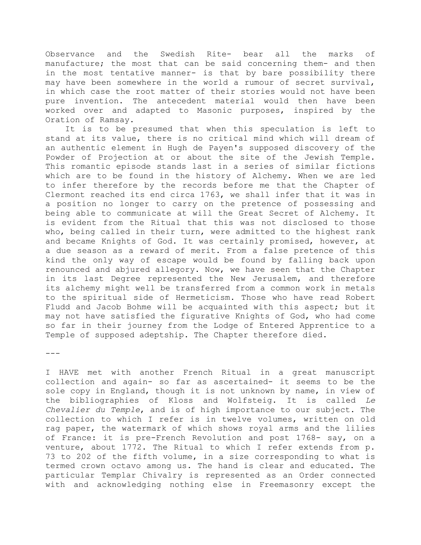Observance and the Swedish Rite- bear all the marks of manufacture; the most that can be said concerning them- and then in the most tentative manner- is that by bare possibility there may have been somewhere in the world a rumour of secret survival, in which case the root matter of their stories would not have been pure invention. The antecedent material would then have been worked over and adapted to Masonic purposes, inspired by the Oration of Ramsay.

 It is to be presumed that when this speculation is left to stand at its value, there is no critical mind which will dream of an authentic element in Hugh de Payen's supposed discovery of the Powder of Projection at or about the site of the Jewish Temple. This romantic episode stands last in a series of similar fictions which are to be found in the history of Alchemy. When we are led to infer therefore by the records before me that the Chapter of Clermont reached its end circa 1763, we shall infer that it was in a position no longer to carry on the pretence of possessing and being able to communicate at will the Great Secret of Alchemy. It is evident from the Ritual that this was not disclosed to those who, being called in their turn, were admitted to the highest rank and became Knights of God. It was certainly promised, however, at a due season as a reward of merit. From a false pretence of this kind the only way of escape would be found by falling back upon renounced and abjured allegory. Now, we have seen that the Chapter in its last Degree represented the New Jerusalem, and therefore its alchemy might well be transferred from a common work in metals to the spiritual side of Hermeticism. Those who have read Robert Fludd and Jacob Bohme will be acquainted with this aspect; but it may not have satisfied the figurative Knights of God, who had come so far in their journey from the Lodge of Entered Apprentice to a Temple of supposed adeptship. The Chapter therefore died.

 $- - -$ 

I HAVE met with another French Ritual in a great manuscript collection and again- so far as ascertained- it seems to be the sole copy in England, though it is not unknown by name, in view of the bibliographies of Kloss and Wolfsteig. It is called *Le Chevalier du Temple*, and is of high importance to our subject. The collection to which I refer is in twelve volumes, written on old rag paper, the watermark of which shows royal arms and the lilies of France: it is pre-French Revolution and post 1768- say, on a venture, about 1772. The Ritual to which I refer extends from p. 73 to 202 of the fifth volume, in a size corresponding to what is termed crown octavo among us. The hand is clear and educated. The particular Templar Chivalry is represented as an Order connected with and acknowledging nothing else in Freemasonry except the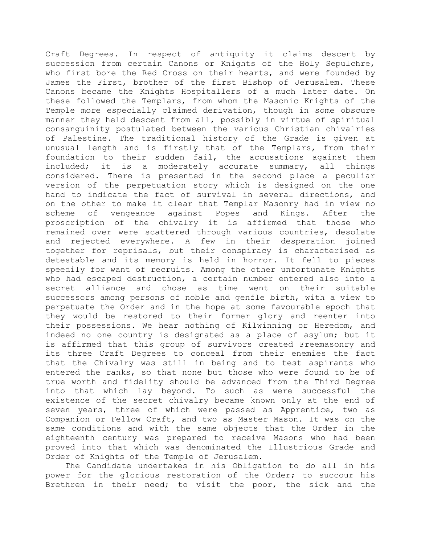Craft Degrees. In respect of antiquity it claims descent by succession from certain Canons or Knights of the Holy Sepulchre, who first bore the Red Cross on their hearts, and were founded by James the First, brother of the first Bishop of Jerusalem. These Canons became the Knights Hospitallers of a much later date. On these followed the Templars, from whom the Masonic Knights of the Temple more especially claimed derivation, though in some obscure manner they held descent from all, possibly in virtue of spiritual consanguinity postulated between the various Christian chivalries of Palestine. The traditional history of the Grade is given at unusual length and is firstly that of the Templars, from their foundation to their sudden fail, the accusations against them included; it is a moderately accurate summary, all things considered. There is presented in the second place a peculiar version of the perpetuation story which is designed on the one hand to indicate the fact of survival in several directions, and on the other to make it clear that Templar Masonry had in view no scheme of vengeance against Popes and Kings. After the proscription of the chivalry it is affirmed that those who remained over were scattered through various countries, desolate and rejected everywhere. A few in their desperation joined together for reprisals, but their conspiracy is characterised as detestable and its memory is held in horror. It fell to pieces speedily for want of recruits. Among the other unfortunate Knights who had escaped destruction, a certain number entered also into a secret alliance and chose as time went on their suitable successors among persons of noble and genfle birth, with a view to perpetuate the Order and in the hope at some favourable epoch that they would be restored to their former glory and reenter into their possessions. We hear nothing of Kilwinning or Heredom, and indeed no one country is designated as a place of asylum; but it is affirmed that this group of survivors created Freemasonry and its three Craft Degrees to conceal from their enemies the fact that the Chivalry was still in being and to test aspirants who entered the ranks, so that none but those who were found to be of true worth and fidelity should be advanced from the Third Degree into that which lay beyond. To such as were successful the existence of the secret chivalry became known only at the end of seven years, three of which were passed as Apprentice, two as Companion or Fellow Craft, and two as Master Mason. It was on the same conditions and with the same objects that the Order in the eighteenth century was prepared to receive Masons who had been proved into that which was denominated the Illustrious Grade and Order of Knights of the Temple of Jerusalem.

 The Candidate undertakes in his Obligation to do all in his power for the glorious restoration of the Order; to succour his Brethren in their need; to visit the poor, the sick and the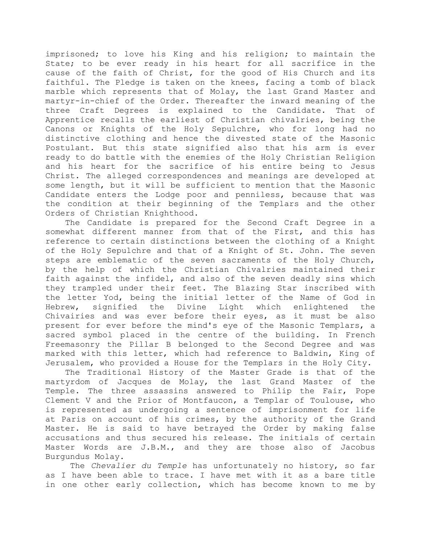imprisoned; to love his King and his religion; to maintain the State; to be ever ready in his heart for all sacrifice in the cause of the faith of Christ, for the good of His Church and its faithful. The Pledge is taken on the knees, facing a tomb of black marble which represents that of Molay, the last Grand Master and martyr-in-chief of the Order. Thereafter the inward meaning of the three Craft Degrees is explained to the Candidate. That of Apprentice recalls the earliest of Christian chivalries, being the Canons or Knights of the Holy Sepulchre, who for long had no distinctive clothing and hence the divested state of the Masonic Postulant. But this state signified also that his arm is ever ready to do battle with the enemies of the Holy Christian Religion and his heart for the sacrifice of his entire being to Jesus Christ. The alleged correspondences and meanings are developed at some length, but it will be sufficient to mention that the Masonic Candidate enters the Lodge poor and penniless, because that was the condition at their beginning of the Templars and the other Orders of Christian Knighthood.

 The Candidate is prepared for the Second Craft Degree in a somewhat different manner from that of the First, and this has reference to certain distinctions between the clothing of a Knight of the Holy Sepulchre and that of a Knight of St. John. The seven steps are emblematic of the seven sacraments of the Holy Church, by the help of which the Christian Chivalries maintained their faith against the infidel, and also of the seven deadly sins which they trampled under their feet. The Blazing Star inscribed with the letter Yod, being the initial letter of the Name of God in Hebrew, signified the Divine Light which enlightened the Chivairies and was ever before their eyes, as it must be also present for ever before the mind's eye of the Masonic Templars, a sacred symbol placed in the centre of the building. In French Freemasonry the Pillar B belonged to the Second Degree and was marked with this letter, which had reference to Baldwin, King of Jerusalem, who provided a House for the Templars in the Holy City.

 The Traditional History of the Master Grade is that of the martyrdom of Jacques de Molay, the last Grand Master of the Temple. The three assassins answered to Philip the Fair, Pope Clement V and the Prior of Montfaucon, a Templar of Toulouse, who is represented as undergoing a sentence of imprisonment for life at Paris on account of his crimes, by the authority of the Grand Master. He is said to have betrayed the Order by making false accusations and thus secured his release. The initials of certain Master Words are J.B.M., and they are those also of Jacobus Burgundus Molay.

 The *Chevalier du Temple* has unfortunately no history, so far as I have been able to trace. I have met with it as a bare title in one other early collection, which has become known to me by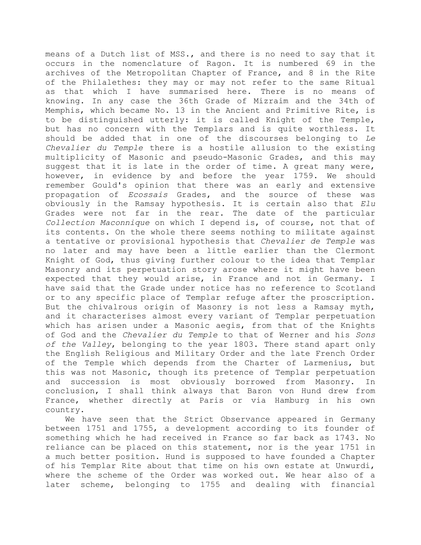means of a Dutch list of MSS., and there is no need to say that it occurs in the nomenclature of Ragon. It is numbered 69 in the archives of the Metropolitan Chapter of France, and 8 in the Rite of the Philalethes: they may or may not refer to the same Ritual as that which I have summarised here. There is no means of knowing. In any case the 36th Grade of Mizraim and the 34th of Memphis, which became No. 13 in the Ancient and Primitive Rite, is to be distinguished utterly: it is called Knight of the Temple, but has no concern with the Templars and is quite worthless. It should be added that in one of the discourses belonging to *Le Chevalier du Temple* there is a hostile allusion to the existing multiplicity of Masonic and pseudo-Masonic Grades, and this may suggest that it is late in the order of time. A great many were, however, in evidence by and before the year 1759. We should remember Gould's opinion that there was an early and extensive propagation of *Ecossais* Grades, and the source of these was obviously in the Ramsay hypothesis. It is certain also that *Elu* Grades were not far in the rear. The date of the particular *Collection Maconnique* on which I depend is, of course, not that of its contents. On the whole there seems nothing to militate against a tentative or provisional hypothesis that *Chevalier de Temple* was no later and may have been a little earlier than the Clermont Knight of God, thus giving further colour to the idea that Templar Masonry and its perpetuation story arose where it might have been expected that they would arise, in France and not in Germany. I have said that the Grade under notice has no reference to Scotland or to any specific place of Templar refuge after the proscription. But the chivalrous origin of Masonry is not less a Ramsay myth, and it characterises almost every variant of Templar perpetuation which has arisen under a Masonic aegis, from that of the Knights of God and the *Chevalier du Temple* to that of Werner and his *Sons of the Valley*, belonging to the year 1803. There stand apart only the English Religious and Military Order and the late French Order of the Temple which depends from the Charter of Larmenius, but this was not Masonic, though its pretence of Templar perpetuation and succession is most obviously borrowed from Masonry. In conclusion, I shall think always that Baron von Hund drew from France, whether directly at Paris or via Hamburg in his own country.

 We have seen that the Strict Observance appeared in Germany between 1751 and 1755, a development according to its founder of something which he had received in France so far back as 1743. No reliance can be placed on this statement, nor is the year 1751 in a much better position. Hund is supposed to have founded a Chapter of his Templar Rite about that time on his own estate at Unwurdi, where the scheme of the Order was worked out. We hear also of a later scheme, belonging to 1755 and dealing with financial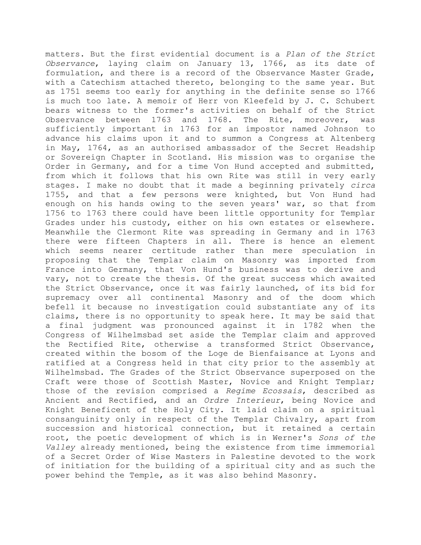matters. But the first evidential document is a *Plan of the Strict Observance*, laying claim on January 13, 1766, as its date of formulation, and there is a record of the Observance Master Grade, with a Catechism attached thereto, belonging to the same year. But as 1751 seems too early for anything in the definite sense so 1766 is much too late. A memoir of Herr von Kleefeld by J. C. Schubert bears witness to the former's activities on behalf of the Strict Observance between 1763 and 1768. The Rite, moreover, was sufficiently important in 1763 for an impostor named Johnson to advance his claims upon it and to summon a Congress at Altenberg in May, 1764, as an authorised ambassador of the Secret Headship or Sovereign Chapter in Scotland. His mission was to organise the Order in Germany, and for a time Von Hund accepted and submitted, from which it follows that his own Rite was still in very early stages. I make no doubt that it made a beginning privately *circa* 1755, and that a few persons were knighted, but Von Hund had enough on his hands owing to the seven years' war, so that from 1756 to 1763 there could have been little opportunity for Templar Grades under his custody, either on his own estates or elsewhere. Meanwhile the Clermont Rite was spreading in Germany and in 1763 there were fifteen Chapters in all. There is hence an element which seems nearer certitude rather than mere speculation in proposing that the Templar claim on Masonry was imported from France into Germany, that Von Hund's business was to derive and vary, not to create the thesis. Of the great success which awaited the Strict Observance, once it was fairly launched, of its bid for supremacy over all continental Masonry and of the doom which befell it because no investigation could substantiate any of its claims, there is no opportunity to speak here. It may be said that a final judgment was pronounced against it in 1782 when the Congress of Wilhelmsbad set aside the Templar claim and approved the Rectified Rite, otherwise a transformed Strict Observance, created within the bosom of the Loge de Bienfaisance at Lyons and ratified at a Congress held in that city prior to the assembly at Wilhelmsbad. The Grades of the Strict Observance superposed on the Craft were those of Scottish Master, Novice and Knight Templar; those of the revision comprised a *Regime Ecossais*, described as Ancient and Rectified, and an *Ordre Interieur*, being Novice and Knight Beneficent of the Holy City. It laid claim on a spiritual consanguinity only in respect of the Templar Chivalry, apart from succession and historical connection, but it retained a certain root, the poetic development of which is in Werner's *Sons of the Valley* already mentioned, being the existence from time immemorial of a Secret Order of Wise Masters in Palestine devoted to the work of initiation for the building of a spiritual city and as such the power behind the Temple, as it was also behind Masonry.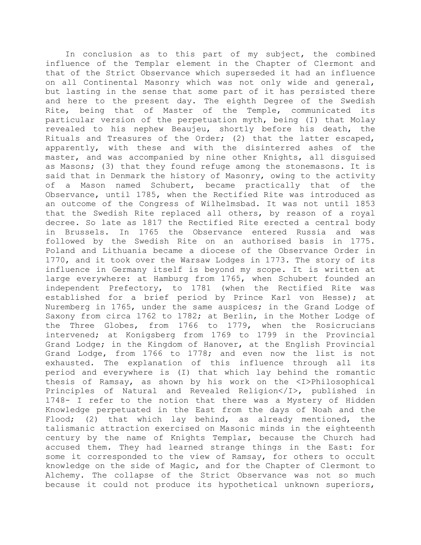In conclusion as to this part of my subject, the combined influence of the Templar element in the Chapter of Clermont and that of the Strict Observance which superseded it had an influence on all Continental Masonry which was not only wide and general, but lasting in the sense that some part of it has persisted there and here to the present day. The eighth Degree of the Swedish Rite, being that of Master of the Temple, communicated its particular version of the perpetuation myth, being (I) that Molay revealed to his nephew Beaujeu, shortly before his death, the Rituals and Treasures of the Order; (2) that the latter escaped, apparently, with these and with the disinterred ashes of the master, and was accompanied by nine other Knights, all disguised as Masons; (3) that they found refuge among the stonemasons. It is said that in Denmark the history of Masonry, owing to the activity of a Mason named Schubert, became practically that of the Observance, until 1785, when the Rectified Rite was introduced as an outcome of the Congress of Wilhelmsbad. It was not until 1853 that the Swedish Rite replaced all others, by reason of a royal decree. So late as 1817 the Rectified Rite erected a central body in Brussels. In 1765 the Observance entered Russia and was followed by the Swedish Rite on an authorised basis in 1775. Poland and Lithuania became a diocese of the Observance Order in 1770, and it took over the Warsaw Lodges in 1773. The story of its influence in Germany itself is beyond my scope. It is written at large everywhere: at Hamburg from 1765, when Schubert founded an independent Prefectory, to 1781 (when the Rectified Rite was established for a brief period by Prince Karl von Hesse); at Nuremberg in 1765, under the same auspices; in the Grand Lodge of Saxony from circa 1762 to 1782; at Berlin, in the Mother Lodge of the Three Globes, from 1766 to 1779, when the Rosicrucians intervened; at Konigsberg from 1769 to 1799 in the Provincial Grand Lodge; in the Kingdom of Hanover, at the English Provincial Grand Lodge, from 1766 to 1778; and even now the list is not exhausted. The explanation of this influence through all its period and everywhere is (I) that which lay behind the romantic thesis of Ramsay, as shown by his work on the <I>Philosophical Principles of Natural and Revealed Religion</I>, published in 1748- I refer to the notion that there was a Mystery of Hidden Knowledge perpetuated in the East from the days of Noah and the Flood; (2) that which lay behind, as already mentioned, the talismanic attraction exercised on Masonic minds in the eighteenth century by the name of Knights Templar, because the Church had accused them. They had learned strange things in the East: for some it corresponded to the view of Ramsay, for others to occult knowledge on the side of Magic, and for the Chapter of Clermont to Alchemy. The collapse of the Strict Observance was not so much because it could not produce its hypothetical unknown superiors,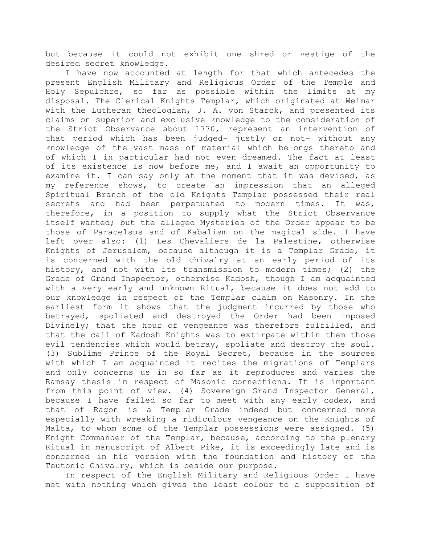but because it could not exhibit one shred or vestige of the desired secret knowledge.

 I have now accounted at length for that which antecedes the present English Military and Religious Order of the Temple and Holy Sepulchre, so far as possible within the limits at my disposal. The Clerical Knights Templar, which originated at Weimar with the Lutheran theologian, J. A. von Starck, and presented its claims on superior and exclusive knowledge to the consideration of the Strict Observance about 1770, represent an intervention of that period which has been judged- justly or not- without any knowledge of the vast mass of material which belongs thereto and of which I in particular had not even dreamed. The fact at least of its existence is now before me, and I await an opportunity to examine it. I can say only at the moment that it was devised, as my reference shows, to create an impression that an alleged Spiritual Branch of the old Knights Templar possessed their real secrets and had been perpetuated to modern times. It was, therefore, in a position to supply what the Strict Observance itself wanted; but the alleged Mysteries of the Order appear to be those of Paracelsus and of Kabalism on the magical side. I have left over also: (1) Les Chevaliers de la Palestine, otherwise Knights of Jerusalem, because although it is a Templar Grade, it is concerned with the old chivalry at an early period of its history, and not with its transmission to modern times; (2) the Grade of Grand Inspector, otherwise Kadosh, though I am acquainted with a very early and unknown Ritual, because it does not add to our knowledge in respect of the Templar claim on Masonry. In the earliest form it shows that the judgment incurred by those who betrayed, spoliated and destroyed the Order had been imposed Divinely; that the hour of vengeance was therefore fulfilled, and that the call of Kadosh Knights was to extirpate within them those evil tendencies which would betray, spoliate and destroy the soul. (3) Sublime Prince of the Royal Secret, because in the sources with which I am acquainted it recites the migrations of Templars and only concerns us in so far as it reproduces and varies the Ramsay thesis in respect of Masonic connections. It is important from this point of view. (4) Sovereign Grand Inspector General, because I have failed so far to meet with any early codex, and that of Ragon is a Templar Grade indeed but concerned more especially with wreaking a ridiculous vengeance on the Knights of Malta, to whom some of the Templar possessions were assigned. (5) Knight Commander of the Templar, because, according to the plenary Ritual in manuscript of Albert Pike, it is exceedingly late and is concerned in his version with the foundation and history of the Teutonic Chivalry, which is beside our purpose.

 In respect of the English Military and Religious Order I have met with nothing which gives the least colour to a supposition of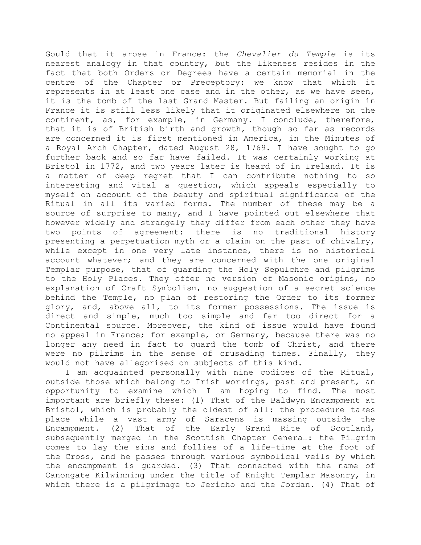Gould that it arose in France: the *Chevalier du Temple* is its nearest analogy in that country, but the likeness resides in the fact that both Orders or Degrees have a certain memorial in the centre of the Chapter or Preceptory: we know that which it represents in at least one case and in the other, as we have seen, it is the tomb of the last Grand Master. But failing an origin in France it is still less likely that it originated elsewhere on the continent, as, for example, in Germany. I conclude, therefore, that it is of British birth and growth, though so far as records are concerned it is first mentioned in America, in the Minutes of a Royal Arch Chapter, dated August 28, 1769. I have sought to go further back and so far have failed. It was certainly working at Bristol in 1772, and two years later is heard of in Ireland. It is a matter of deep regret that I can contribute nothing to so interesting and vital a question, which appeals especially to myself on account of the beauty and spiritual significance of the Ritual in all its varied forms. The number of these may be a source of surprise to many, and I have pointed out elsewhere that however widely and strangely they differ from each other they have two points of agreement: there is no traditional history presenting a perpetuation myth or a claim on the past of chivalry, while except in one very late instance, there is no historical account whatever; and they are concerned with the one original Templar purpose, that of guarding the Holy Sepulchre and pilgrims to the Holy Places. They offer no version of Masonic origins, no explanation of Craft Symbolism, no suggestion of a secret science behind the Temple, no plan of restoring the Order to its former glory, and, above all, to its former possessions. The issue is direct and simple, much too simple and far too direct for a Continental source. Moreover, the kind of issue would have found no appeal in France; for example, or Germany, because there was no longer any need in fact to guard the tomb of Christ, and there were no pilrims in the sense of crusading times. Finally, they would not have allegorised on subjects of this kind.

 I am acquainted personally with nine codices of the Ritual, outside those which belong to Irish workings, past and present, an opportunity to examine which I am hoping to find. The most important are briefly these: (1) That of the Baldwyn Encampment at Bristol, which is probably the oldest of all: the procedure takes place while a vast army of Saracens is massing outside the Encampment. (2) That of the Early Grand Rite of Scotland, subsequently merged in the Scottish Chapter General: the Pilgrim comes to lay the sins and follies of a life-time at the foot of the Cross, and he passes through various symbolical veils by which the encampment is guarded. (3) That connected with the name of Canongate Kilwinning under the title of Knight Templar Masonry, in which there is a pilgrimage to Jericho and the Jordan. (4) That of